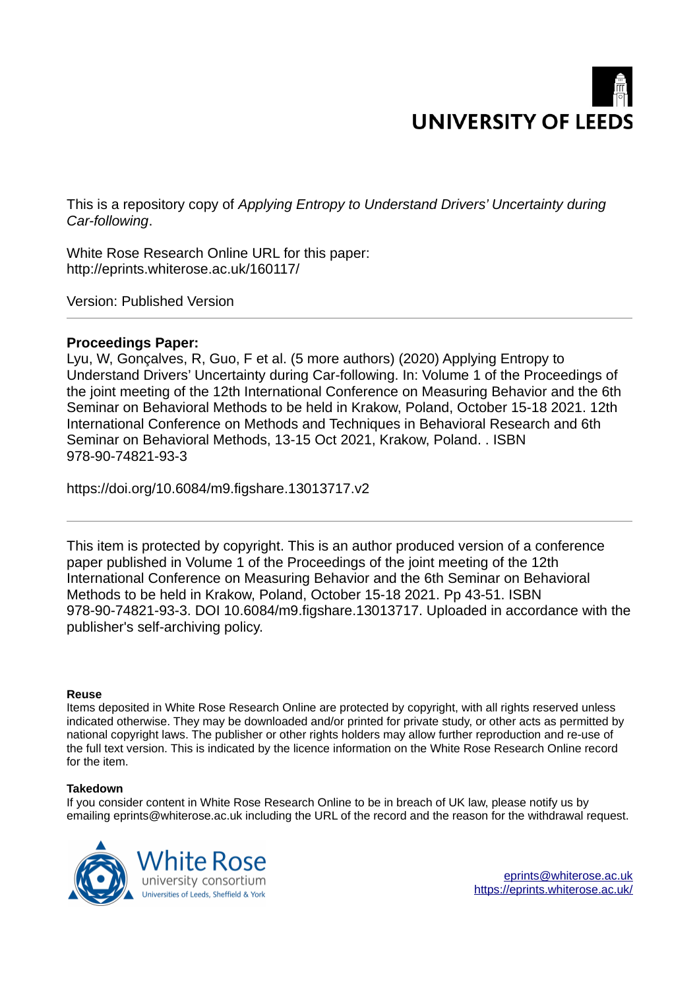

This is a repository copy of *Applying Entropy to Understand Drivers' Uncertainty during Car-following*.

White Rose Research Online URL for this paper: http://eprints.whiterose.ac.uk/160117/

Version: Published Version

# **Proceedings Paper:**

Lyu, W, Gonçalves, R, Guo, F et al. (5 more authors) (2020) Applying Entropy to Understand Drivers' Uncertainty during Car-following. In: Volume 1 of the Proceedings of the joint meeting of the 12th International Conference on Measuring Behavior and the 6th Seminar on Behavioral Methods to be held in Krakow, Poland, October 15-18 2021. 12th International Conference on Methods and Techniques in Behavioral Research and 6th Seminar on Behavioral Methods, 13-15 Oct 2021, Krakow, Poland. . ISBN 978-90-74821-93-3

https://doi.org/10.6084/m9.figshare.13013717.v2

This item is protected by copyright. This is an author produced version of a conference paper published in Volume 1 of the Proceedings of the joint meeting of the 12th International Conference on Measuring Behavior and the 6th Seminar on Behavioral Methods to be held in Krakow, Poland, October 15-18 2021. Pp 43-51. ISBN 978-90-74821-93-3. DOI 10.6084/m9.figshare.13013717. Uploaded in accordance with the publisher's self-archiving policy.

## **Reuse**

Items deposited in White Rose Research Online are protected by copyright, with all rights reserved unless indicated otherwise. They may be downloaded and/or printed for private study, or other acts as permitted by national copyright laws. The publisher or other rights holders may allow further reproduction and re-use of the full text version. This is indicated by the licence information on the White Rose Research Online record for the item.

## **Takedown**

If you consider content in White Rose Research Online to be in breach of UK law, please notify us by emailing eprints@whiterose.ac.uk including the URL of the record and the reason for the withdrawal request.

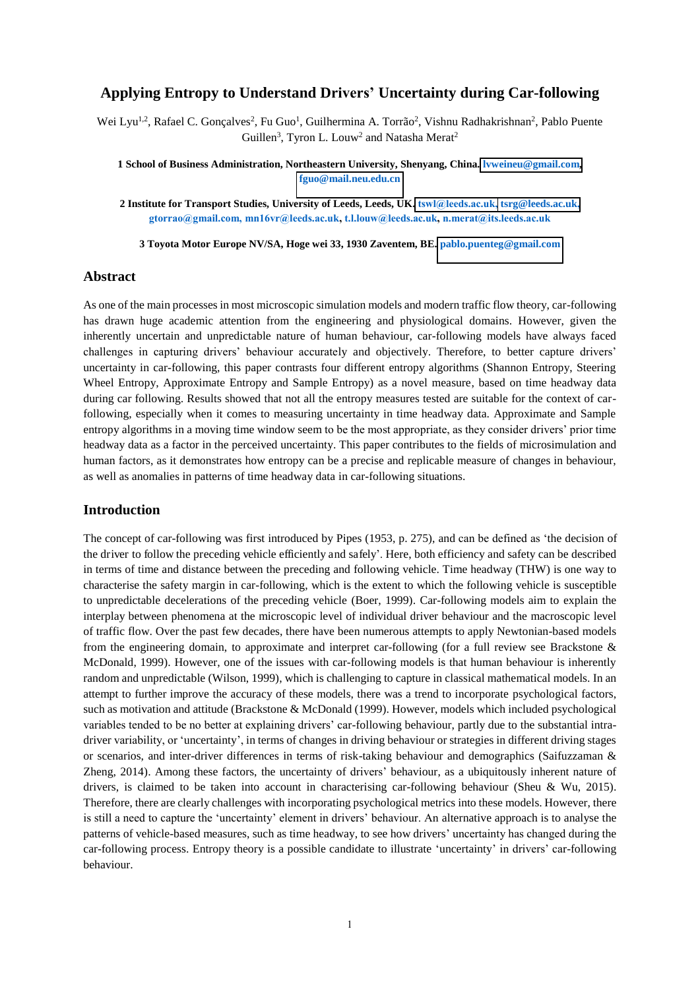## **Applying Entropy to Understand Drivers' Uncertainty during Car-following**

Wei Lyu<sup>1,2</sup>, Rafael C. Gonçalves<sup>2</sup>, Fu Guo<sup>1</sup>, Guilhermina A. Torrão<sup>2</sup>, Vishnu Radhakrishnan<sup>2</sup>, Pablo Puente Guillen<sup>3</sup>, Tyron L. Louw<sup>2</sup> and Natasha Merat<sup>2</sup>

**1 School of Business Administration, Northeastern University, Shenyang, China. [lvweineu@gmail.com,](mailto:lvweineu@gmail.com) [fguo@mail.neu.edu.cn](mailto:fguo@mail.neu.edu.cn)**

**2 Institute for Transport Studies, University of Leeds, Leeds, UK. [tswl@leeds.ac.uk,](mailto:tswl@leeds.ac.uk) [tsrg@leeds.ac.uk](mailto:tsrg@leeds.ac.uk), gtorrao@gmail.com, mn16vr@leeds.ac.uk, t.l.louw@leeds.ac.uk, n.merat@its.leeds.ac.uk**

**3 Toyota Motor Europe NV/SA, Hoge wei 33, 1930 Zaventem, BE. [pablo.puenteg@gmail.com](mailto:pablo.puenteg@gmail.com)**

#### **Abstract**

As one of the main processes in most microscopic simulation models and modern traffic flow theory, car-following has drawn huge academic attention from the engineering and physiological domains. However, given the inherently uncertain and unpredictable nature of human behaviour, car-following models have always faced challenges in capturing drivers' behaviour accurately and objectively. Therefore, to better capture drivers' uncertainty in car-following, this paper contrasts four different entropy algorithms (Shannon Entropy, Steering Wheel Entropy, Approximate Entropy and Sample Entropy) as a novel measure, based on time headway data during car following. Results showed that not all the entropy measures tested are suitable for the context of carfollowing, especially when it comes to measuring uncertainty in time headway data. Approximate and Sample entropy algorithms in a moving time window seem to be the most appropriate, as they consider drivers' prior time headway data as a factor in the perceived uncertainty. This paper contributes to the fields of microsimulation and human factors, as it demonstrates how entropy can be a precise and replicable measure of changes in behaviour, as well as anomalies in patterns of time headway data in car-following situations.

#### **Introduction**

The concept of car-following was first introduced by Pipes (1953, p. 275), and can be defined as 'the decision of the driver to follow the preceding vehicle efficiently and safely'. Here, both efficiency and safety can be described in terms of time and distance between the preceding and following vehicle. Time headway (THW) is one way to characterise the safety margin in car-following, which is the extent to which the following vehicle is susceptible to unpredictable decelerations of the preceding vehicle (Boer, 1999). Car-following models aim to explain the interplay between phenomena at the microscopic level of individual driver behaviour and the macroscopic level of traffic flow. Over the past few decades, there have been numerous attempts to apply Newtonian-based models from the engineering domain, to approximate and interpret car-following (for a full review see Brackstone & McDonald, 1999). However, one of the issues with car-following models is that human behaviour is inherently random and unpredictable (Wilson, 1999), which is challenging to capture in classical mathematical models. In an attempt to further improve the accuracy of these models, there was a trend to incorporate psychological factors, such as motivation and attitude (Brackstone & McDonald (1999). However, models which included psychological variables tended to be no better at explaining drivers' car-following behaviour, partly due to the substantial intradriver variability, or 'uncertainty', in terms of changes in driving behaviour or strategies in different driving stages or scenarios, and inter-driver differences in terms of risk-taking behaviour and demographics (Saifuzzaman & Zheng, 2014). Among these factors, the uncertainty of drivers' behaviour, as a ubiquitously inherent nature of drivers, is claimed to be taken into account in characterising car-following behaviour (Sheu & Wu, 2015). Therefore, there are clearly challenges with incorporating psychological metrics into these models. However, there is still a need to capture the 'uncertainty' element in drivers' behaviour. An alternative approach is to analyse the patterns of vehicle-based measures, such as time headway, to see how drivers' uncertainty has changed during the car-following process. Entropy theory is a possible candidate to illustrate 'uncertainty' in drivers' car-following behaviour.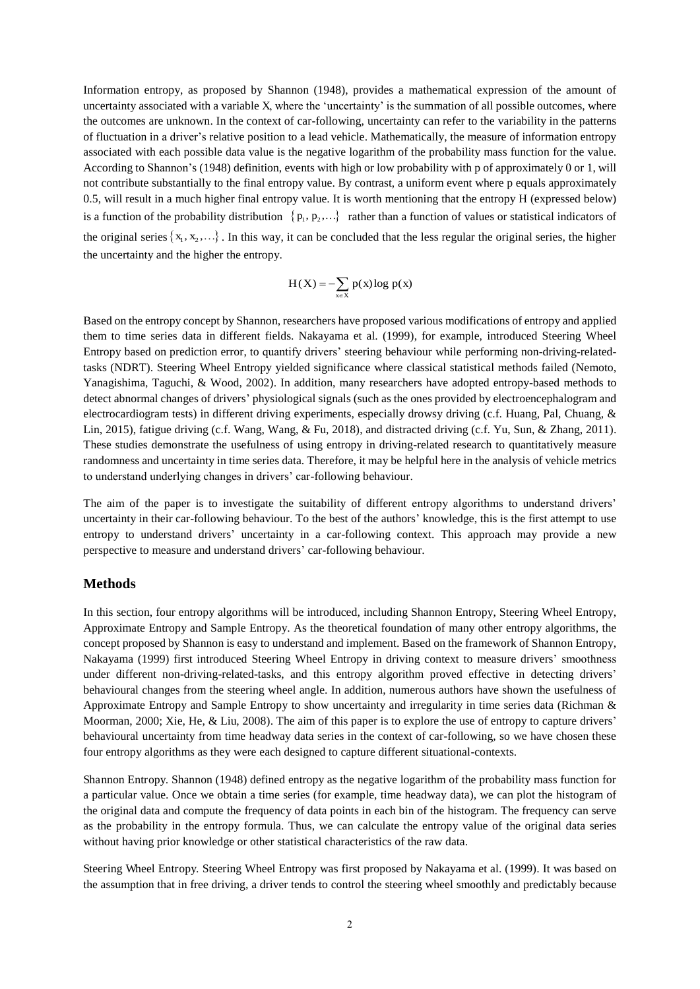Information entropy, as proposed by Shannon (1948), provides a mathematical expression of the amount of uncertainty associated with a variable X, where the 'uncertainty' is the summation of all possible outcomes, where the outcomes are unknown. In the context of car-following, uncertainty can refer to the variability in the patterns of fluctuation in a driver's relative position to a lead vehicle. Mathematically, the measure of information entropy associated with each possible data value is the negative logarithm of the probability mass function for the value. According to Shannon's (1948) definition, events with high or low probability with p of approximately 0 or 1, will not contribute substantially to the final entropy value. By contrast, a uniform event where p equals approximately 0.5, will result in a much higher final entropy value. It is worth mentioning that the entropy H (expressed below) is a function of the probability distribution  $\{p_1, p_2, ...\}$  rather than a function of values or statistical indicators of the original series  $\{x_1, x_2, ...\}$ . In this way, it can be concluded that the less regular the original series, the higher the uncertainty and the higher the entropy.

$$
H(X) = -\sum_{x \in X} p(x) \log p(x)
$$

Based on the entropy concept by Shannon, researchers have proposed various modifications of entropy and applied them to time series data in different fields. Nakayama et al. (1999), for example, introduced Steering Wheel Entropy based on prediction error, to quantify drivers' steering behaviour while performing non-driving-relatedtasks (NDRT). Steering Wheel Entropy yielded significance where classical statistical methods failed (Nemoto, Yanagishima, Taguchi, & Wood, 2002). In addition, many researchers have adopted entropy-based methods to detect abnormal changes of drivers' physiological signals (such as the ones provided by electroencephalogram and electrocardiogram tests) in different driving experiments, especially drowsy driving (c.f. Huang, Pal, Chuang, & Lin, 2015), fatigue driving (c.f. Wang, Wang, & Fu, 2018), and distracted driving (c.f. Yu, Sun, & Zhang, 2011). These studies demonstrate the usefulness of using entropy in driving-related research to quantitatively measure randomness and uncertainty in time series data. Therefore, it may be helpful here in the analysis of vehicle metrics to understand underlying changes in drivers' car-following behaviour.

The aim of the paper is to investigate the suitability of different entropy algorithms to understand drivers' uncertainty in their car-following behaviour. To the best of the authors' knowledge, this is the first attempt to use entropy to understand drivers' uncertainty in a car-following context. This approach may provide a new perspective to measure and understand drivers' car-following behaviour.

#### **Methods**

In this section, four entropy algorithms will be introduced, including Shannon Entropy, Steering Wheel Entropy, Approximate Entropy and Sample Entropy. As the theoretical foundation of many other entropy algorithms, the concept proposed by Shannon is easy to understand and implement. Based on the framework of Shannon Entropy, Nakayama (1999) first introduced Steering Wheel Entropy in driving context to measure drivers' smoothness under different non-driving-related-tasks, and this entropy algorithm proved effective in detecting drivers' behavioural changes from the steering wheel angle. In addition, numerous authors have shown the usefulness of Approximate Entropy and Sample Entropy to show uncertainty and irregularity in time series data (Richman & Moorman, 2000; Xie, He, & Liu, 2008). The aim of this paper is to explore the use of entropy to capture drivers' behavioural uncertainty from time headway data series in the context of car-following, so we have chosen these four entropy algorithms as they were each designed to capture different situational-contexts.

Shannon Entropy. Shannon (1948) defined entropy as the negative logarithm of the probability mass function for a particular value. Once we obtain a time series (for example, time headway data), we can plot the histogram of the original data and compute the frequency of data points in each bin of the histogram. The frequency can serve as the probability in the entropy formula. Thus, we can calculate the entropy value of the original data series without having prior knowledge or other statistical characteristics of the raw data.

Steering Wheel Entropy. Steering Wheel Entropy was first proposed by Nakayama et al. (1999). It was based on the assumption that in free driving, a driver tends to control the steering wheel smoothly and predictably because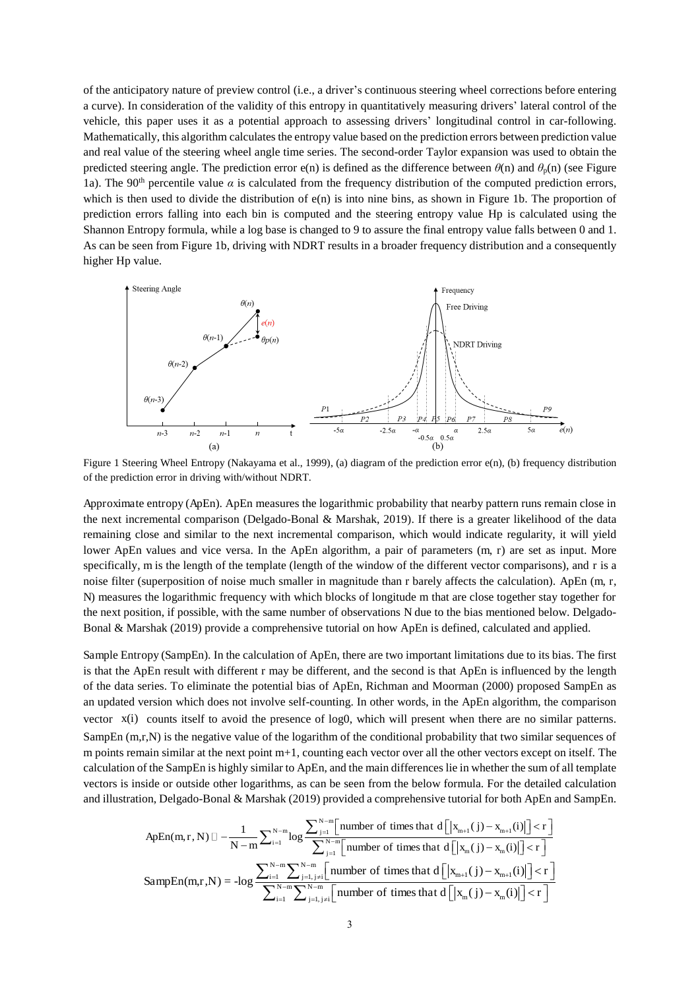of the anticipatory nature of preview control (i.e., a driver's continuous steering wheel corrections before entering a curve). In consideration of the validity of this entropy in quantitatively measuring drivers' lateral control of the vehicle, this paper uses it as a potential approach to assessing drivers' longitudinal control in car-following. Mathematically, this algorithm calculates the entropy value based on the prediction errors between prediction value and real value of the steering wheel angle time series. The second-order Taylor expansion was used to obtain the predicted steering angle. The prediction error e(n) is defined as the difference between  $\theta$ (n) and  $\theta$ <sub>p</sub>(n) (see Figure 1a). The 90<sup>th</sup> percentile value  $\alpha$  is calculated from the frequency distribution of the computed prediction errors, which is then used to divide the distribution of  $e(n)$  is into nine bins, as shown in Figure 1b. The proportion of prediction errors falling into each bin is computed and the steering entropy value Hp is calculated using the Shannon Entropy formula, while a log base is changed to 9 to assure the final entropy value falls between 0 and 1. As can be seen from Figure 1b, driving with NDRT results in a broader frequency distribution and a consequently higher Hp value.



Figure 1 Steering Wheel Entropy (Nakayama et al., 1999), (a) diagram of the prediction error e(n), (b) frequency distribution of the prediction error in driving with/without NDRT.

Approximate entropy (ApEn). ApEn measures the logarithmic probability that nearby pattern runs remain close in the next incremental comparison (Delgado-Bonal & Marshak, 2019). If there is a greater likelihood of the data remaining close and similar to the next incremental comparison, which would indicate regularity, it will yield lower ApEn values and vice versa. In the ApEn algorithm, a pair of parameters (m, r) are set as input. More specifically, m is the length of the template (length of the window of the different vector comparisons), and r is a noise filter (superposition of noise much smaller in magnitude than r barely affects the calculation). ApEn (m, r, N) measures the logarithmic frequency with which blocks of longitude m that are close together stay together for the next position, if possible, with the same number of observations N due to the bias mentioned below. Delgado-Bonal & Marshak (2019) provide a comprehensive tutorial on how ApEn is defined, calculated and applied.

Sample Entropy (SampEn). In the calculation of ApEn, there are two important limitations due to its bias. The first is that the ApEn result with different r may be different, and the second is that ApEn is influenced by the length of the data series. To eliminate the potential bias of ApEn, Richman and Moorman (2000) proposed SampEn as an updated version which does not involve self-counting. In other words, in the ApEn algorithm, the comparison vector  $x(i)$  counts itself to avoid the presence of log0, which will present when there are no similar patterns. SampEn (m,r,N) is the negative value of the logarithm of the conditional probability that two similar sequences of m points remain similar at the next point m+1, counting each vector over all the other vectors except on itself. The calculation of the SampEn is highly similar to ApEn, and the main differences lie in whether the sum of all template vectors is inside or outside other logarithms, as can be seen from the below formula. For the detailed calculation and illustration, Delgado-Bonal & Marshak (2019) provided a comprehensive tutorial for both ApEn and SampEn.

$$
ApEn(m,r,N) \mathbb{I} - \frac{1}{N-m} \sum_{i=1}^{N-m} \log \frac{\sum_{j=1}^{N-m} \left[ \text{number of times that } d \left[ \left| x_{m+1}(j) - x_{m+1}(i) \right| \right] < r \right]}{\sum_{j=1}^{N-m} \left[ \text{number of times that } d \left[ \left| x_m(j) - x_m(i) \right| \right] < r \right]} \nonumber \\ \text{SampEn}(m,r,N) = - \log \frac{\sum_{i=1}^{N-m} \sum_{j=1, \, j\neq i}^{N-m} \left[ \text{number of times that } d \left[ \left| x_{m+1}(j) - x_{m+1}(i) \right| \right] < r \right]}{\sum_{i=1}^{N-m} \sum_{j=1, \, j\neq i}^{N-m} \left[ \text{number of times that } d \left[ \left| x_m(j) - x_m(i) \right| \right] < r \right]} \nonumber \\
$$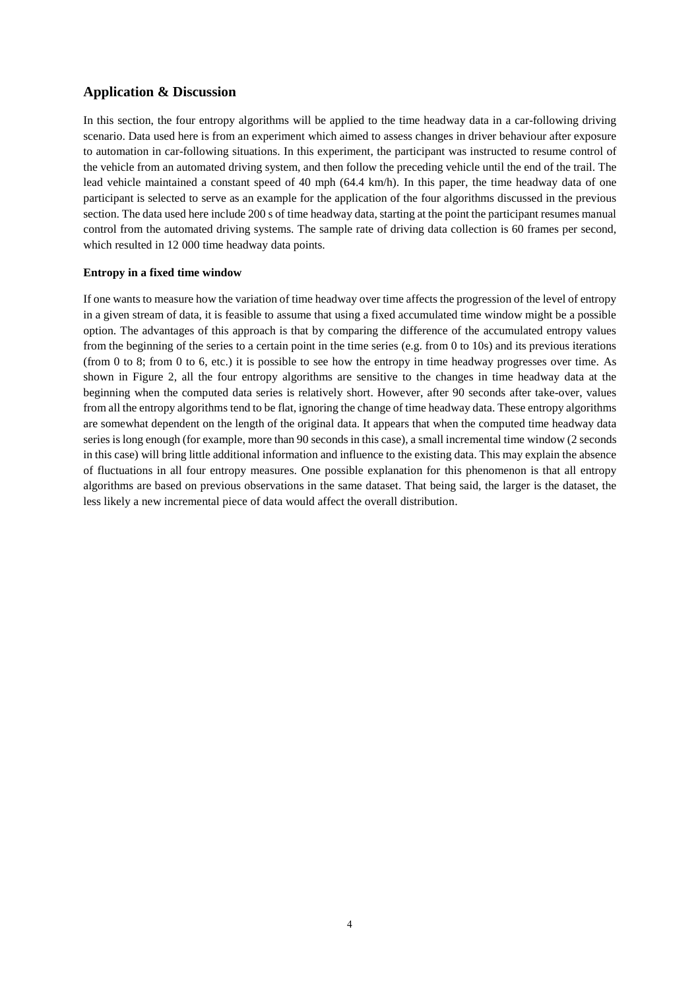# **Application & Discussion**

In this section, the four entropy algorithms will be applied to the time headway data in a car-following driving scenario. Data used here is from an experiment which aimed to assess changes in driver behaviour after exposure to automation in car-following situations. In this experiment, the participant was instructed to resume control of the vehicle from an automated driving system, and then follow the preceding vehicle until the end of the trail. The lead vehicle maintained a constant speed of 40 mph (64.4 km/h). In this paper, the time headway data of one participant is selected to serve as an example for the application of the four algorithms discussed in the previous section. The data used here include 200 s of time headway data, starting at the point the participant resumes manual control from the automated driving systems. The sample rate of driving data collection is 60 frames per second, which resulted in 12 000 time headway data points.

#### **Entropy in a fixed time window**

If one wants to measure how the variation of time headway over time affects the progression of the level of entropy in a given stream of data, it is feasible to assume that using a fixed accumulated time window might be a possible option. The advantages of this approach is that by comparing the difference of the accumulated entropy values from the beginning of the series to a certain point in the time series (e.g. from 0 to 10s) and its previous iterations (from 0 to 8; from 0 to 6, etc.) it is possible to see how the entropy in time headway progresses over time. As shown in Figure 2, all the four entropy algorithms are sensitive to the changes in time headway data at the beginning when the computed data series is relatively short. However, after 90 seconds after take-over, values from all the entropy algorithms tend to be flat, ignoring the change of time headway data. These entropy algorithms are somewhat dependent on the length of the original data. It appears that when the computed time headway data series is long enough (for example, more than 90 seconds in this case), a small incremental time window (2 seconds in this case) will bring little additional information and influence to the existing data. This may explain the absence of fluctuations in all four entropy measures. One possible explanation for this phenomenon is that all entropy algorithms are based on previous observations in the same dataset. That being said, the larger is the dataset, the less likely a new incremental piece of data would affect the overall distribution.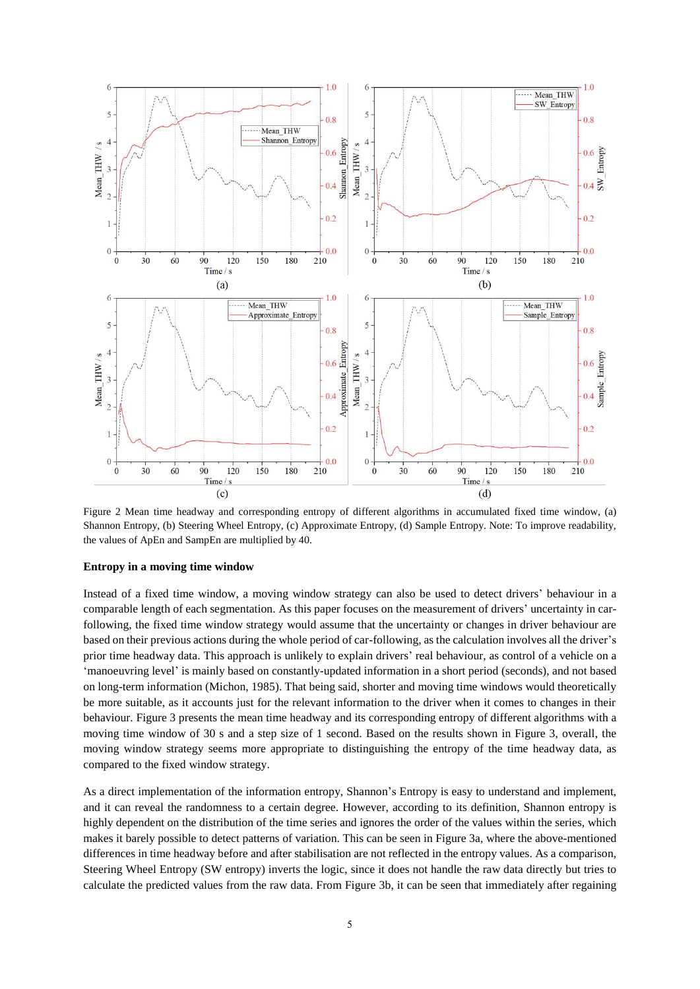

Figure 2 Mean time headway and corresponding entropy of different algorithms in accumulated fixed time window, (a) Shannon Entropy, (b) Steering Wheel Entropy, (c) Approximate Entropy, (d) Sample Entropy. Note: To improve readability, the values of ApEn and SampEn are multiplied by 40.

#### **Entropy in a moving time window**

Instead of a fixed time window, a moving window strategy can also be used to detect drivers' behaviour in a comparable length of each segmentation. As this paper focuses on the measurement of drivers' uncertainty in carfollowing, the fixed time window strategy would assume that the uncertainty or changes in driver behaviour are based on their previous actions during the whole period of car-following, as the calculation involves all the driver's prior time headway data. This approach is unlikely to explain drivers' real behaviour, as control of a vehicle on a 'manoeuvring level' is mainly based on constantly-updated information in a short period (seconds), and not based on long-term information (Michon, 1985). That being said, shorter and moving time windows would theoretically be more suitable, as it accounts just for the relevant information to the driver when it comes to changes in their behaviour. Figure 3 presents the mean time headway and its corresponding entropy of different algorithms with a moving time window of 30 s and a step size of 1 second. Based on the results shown in Figure 3, overall, the moving window strategy seems more appropriate to distinguishing the entropy of the time headway data, as compared to the fixed window strategy.

As a direct implementation of the information entropy, Shannon's Entropy is easy to understand and implement, and it can reveal the randomness to a certain degree. However, according to its definition, Shannon entropy is highly dependent on the distribution of the time series and ignores the order of the values within the series, which makes it barely possible to detect patterns of variation. This can be seen in Figure 3a, where the above-mentioned differences in time headway before and after stabilisation are not reflected in the entropy values. As a comparison, Steering Wheel Entropy (SW entropy) inverts the logic, since it does not handle the raw data directly but tries to calculate the predicted values from the raw data. From Figure 3b, it can be seen that immediately after regaining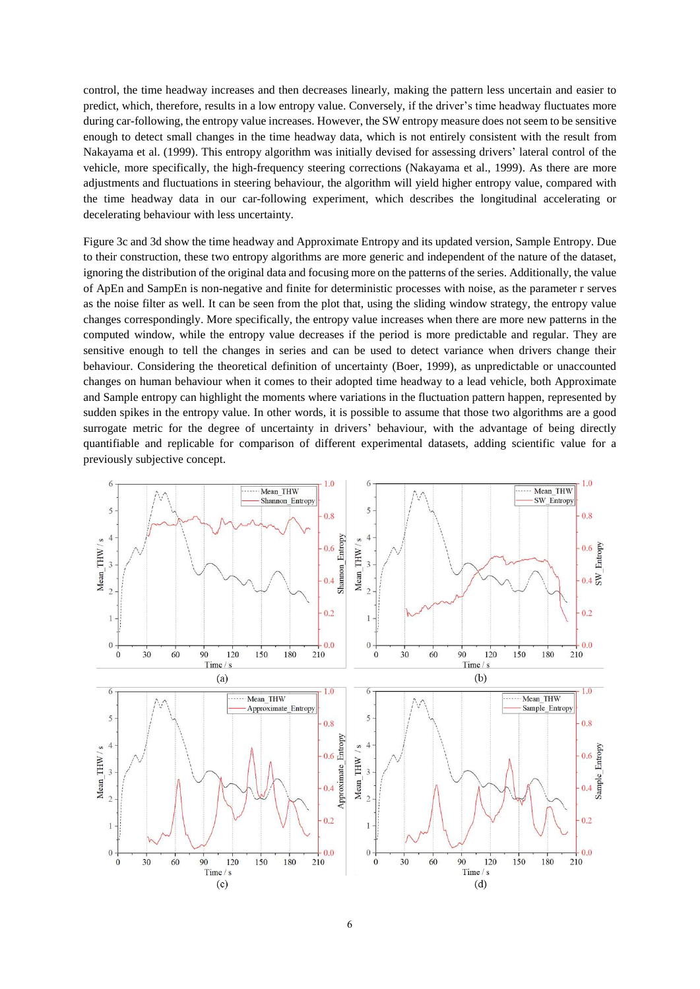control, the time headway increases and then decreases linearly, making the pattern less uncertain and easier to predict, which, therefore, results in a low entropy value. Conversely, if the driver's time headway fluctuates more during car-following, the entropy value increases. However, the SW entropy measure does not seem to be sensitive enough to detect small changes in the time headway data, which is not entirely consistent with the result from Nakayama et al. (1999). This entropy algorithm was initially devised for assessing drivers' lateral control of the vehicle, more specifically, the high-frequency steering corrections (Nakayama et al., 1999). As there are more adjustments and fluctuations in steering behaviour, the algorithm will yield higher entropy value, compared with the time headway data in our car-following experiment, which describes the longitudinal accelerating or decelerating behaviour with less uncertainty.

Figure 3c and 3d show the time headway and Approximate Entropy and its updated version, Sample Entropy. Due to their construction, these two entropy algorithms are more generic and independent of the nature of the dataset, ignoring the distribution of the original data and focusing more on the patterns of the series. Additionally, the value of ApEn and SampEn is non-negative and finite for deterministic processes with noise, as the parameter r serves as the noise filter as well. It can be seen from the plot that, using the sliding window strategy, the entropy value changes correspondingly. More specifically, the entropy value increases when there are more new patterns in the computed window, while the entropy value decreases if the period is more predictable and regular. They are sensitive enough to tell the changes in series and can be used to detect variance when drivers change their behaviour. Considering the theoretical definition of uncertainty (Boer, 1999), as unpredictable or unaccounted changes on human behaviour when it comes to their adopted time headway to a lead vehicle, both Approximate and Sample entropy can highlight the moments where variations in the fluctuation pattern happen, represented by sudden spikes in the entropy value. In other words, it is possible to assume that those two algorithms are a good surrogate metric for the degree of uncertainty in drivers' behaviour, with the advantage of being directly quantifiable and replicable for comparison of different experimental datasets, adding scientific value for a previously subjective concept.

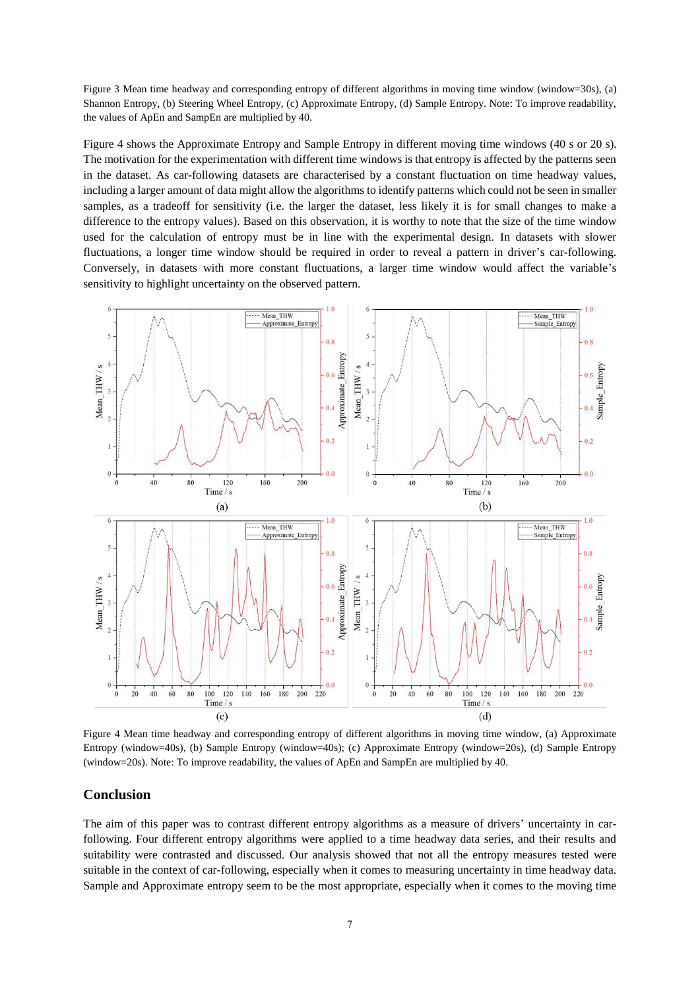Figure 3 Mean time headway and corresponding entropy of different algorithms in moving time window (window=30s), (a) Shannon Entropy, (b) Steering Wheel Entropy, (c) Approximate Entropy, (d) Sample Entropy. Note: To improve readability, the values of ApEn and SampEn are multiplied by 40.

Figure 4 shows the Approximate Entropy and Sample Entropy in different moving time windows (40 s or 20 s). The motivation for the experimentation with different time windows is that entropy is affected by the patterns seen in the dataset. As car-following datasets are characterised by a constant fluctuation on time headway values, including a larger amount of data might allow the algorithms to identify patterns which could not be seen in smaller samples, as a tradeoff for sensitivity (i.e. the larger the dataset, less likely it is for small changes to make a difference to the entropy values). Based on this observation, it is worthy to note that the size of the time window used for the calculation of entropy must be in line with the experimental design. In datasets with slower fluctuations, a longer time window should be required in order to reveal a pattern in driver's car-following. Conversely, in datasets with more constant fluctuations, a larger time window would affect the variable's sensitivity to highlight uncertainty on the observed pattern.



Figure 4 Mean time headway and corresponding entropy of different algorithms in moving time window, (a) Approximate Entropy (window=40s), (b) Sample Entropy (window=40s); (c) Approximate Entropy (window=20s), (d) Sample Entropy (window=20s). Note: To improve readability, the values of ApEn and SampEn are multiplied by 40.

#### **Conclusion**

The aim of this paper was to contrast different entropy algorithms as a measure of drivers' uncertainty in carfollowing. Four different entropy algorithms were applied to a time headway data series, and their results and suitability were contrasted and discussed. Our analysis showed that not all the entropy measures tested were suitable in the context of car-following, especially when it comes to measuring uncertainty in time headway data. Sample and Approximate entropy seem to be the most appropriate, especially when it comes to the moving time